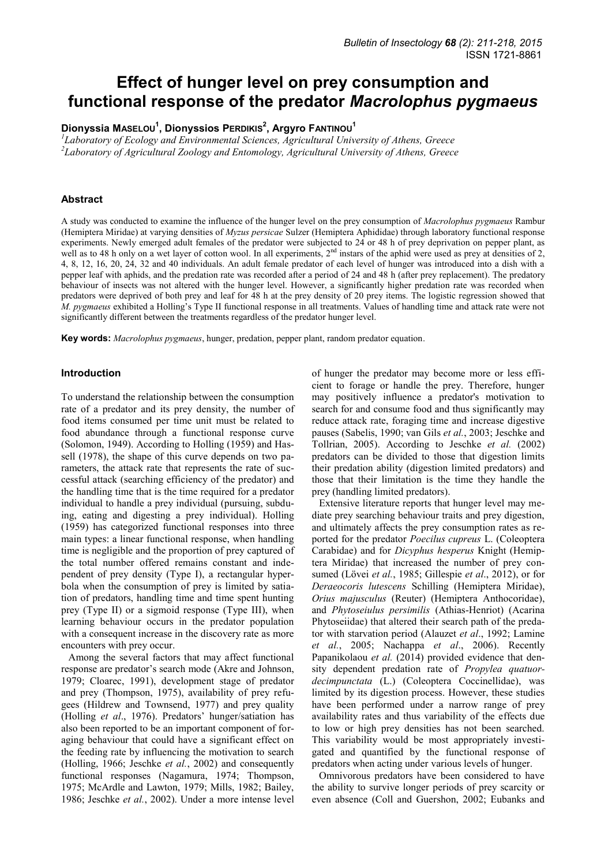# **Effect of hunger level on prey consumption and functional response of the predator** *Macrolophus pygmaeus*

**Dionyssia MASELOU<sup>1</sup> , Dionyssios PERDIKIS<sup>2</sup> , Argyro FANTINOU<sup>1</sup>**

*1 Laboratory of Ecology and Environmental Sciences, Agricultural University of Athens, Greece 2 Laboratory of Agricultural Zoology and Entomology, Agricultural University of Athens, Greece* 

# **Abstract**

A study was conducted to examine the influence of the hunger level on the prey consumption of *Macrolophus pygmaeus* Rambur (Hemiptera Miridae) at varying densities of *Myzus persicae* Sulzer (Hemiptera Aphididae) through laboratory functional response experiments. Newly emerged adult females of the predator were subjected to 24 or 48 h of prey deprivation on pepper plant, as well as to 48 h only on a wet layer of cotton wool. In all experiments,  $2<sup>nd</sup>$  instars of the aphid were used as prey at densities of 2, 4, 8, 12, 16, 20, 24, 32 and 40 individuals. An adult female predator of each level of hunger was introduced into a dish with a pepper leaf with aphids, and the predation rate was recorded after a period of 24 and 48 h (after prey replacement). The predatory behaviour of insects was not altered with the hunger level. However, a significantly higher predation rate was recorded when predators were deprived of both prey and leaf for 48 h at the prey density of 20 prey items. The logistic regression showed that *M. pygmaeus* exhibited a Holling's Type II functional response in all treatments. Values of handling time and attack rate were not significantly different between the treatments regardless of the predator hunger level.

**Key words:** *Macrolophus pygmaeus*, hunger, predation, pepper plant, random predator equation.

### **Introduction**

To understand the relationship between the consumption rate of a predator and its prey density, the number of food items consumed per time unit must be related to food abundance through a functional response curve (Solomon, 1949). According to Holling (1959) and Hassell (1978), the shape of this curve depends on two parameters, the attack rate that represents the rate of successful attack (searching efficiency of the predator) and the handling time that is the time required for a predator individual to handle a prey individual (pursuing, subduing, eating and digesting a prey individual). Holling (1959) has categorized functional responses into three main types: a linear functional response, when handling time is negligible and the proportion of prey captured of the total number offered remains constant and independent of prey density (Type I), a rectangular hyperbola when the consumption of prey is limited by satiation of predators, handling time and time spent hunting prey (Type II) or a sigmoid response (Type III), when learning behaviour occurs in the predator population with a consequent increase in the discovery rate as more encounters with prey occur.

Among the several factors that may affect functional response are predator's search mode (Akre and Johnson, 1979; Cloarec, 1991), development stage of predator and prey (Thompson, 1975), availability of prey refugees (Hildrew and Townsend, 1977) and prey quality (Holling *et al*., 1976). Predators' hunger/satiation has also been reported to be an important component of foraging behaviour that could have a significant effect on the feeding rate by influencing the motivation to search (Holling, 1966; Jeschke *et al.*, 2002) and consequently functional responses (Nagamura, 1974; Thompson, 1975; McArdle and Lawton, 1979; Mills, 1982; Bailey, 1986; Jeschke *et al.*, 2002). Under a more intense level

of hunger the predator may become more or less efficient to forage or handle the prey. Therefore, hunger may positively influence a predator's motivation to search for and consume food and thus significantly may reduce attack rate, foraging time and increase digestive pauses (Sabelis, 1990; van Gils *et al.*, 2003; Jeschke and Tollrian, 2005). According to Jeschke *et al.* (2002) predators can be divided to those that digestion limits their predation ability (digestion limited predators) and those that their limitation is the time they handle the prey (handling limited predators).

Extensive literature reports that hunger level may mediate prey searching behaviour traits and prey digestion, and ultimately affects the prey consumption rates as reported for the predator *Poecilus cupreus* L. (Coleoptera Carabidae) and for *Dicyphus hesperus* Knight (Hemiptera Miridae) that increased the number of prey consumed (Lövei *et al.*, 1985; Gillespie *et al*., 2012), or for *Deraeocoris lutescens* Schilling (Hemiptera Miridae), *Orius majusculus* (Reuter) (Hemiptera Anthocoridae), and *Phytoseiulus persimilis* (Athias-Henriot) (Acarina Phytoseiidae) that altered their search path of the predator with starvation period (Alauzet *et al*., 1992; Lamine *et al.*, 2005; Nachappa *et al*., 2006). Recently Papanikolaou *et al.* (2014) provided evidence that density dependent predation rate of *Propylea quatuordecimpunctata* (L.) (Coleoptera Coccinellidae), was limited by its digestion process. However, these studies have been performed under a narrow range of prey availability rates and thus variability of the effects due to low or high prey densities has not been searched. This variability would be most appropriately investigated and quantified by the functional response of predators when acting under various levels of hunger.

Omnivorous predators have been considered to have the ability to survive longer periods of prey scarcity or even absence (Coll and Guershon, 2002; Eubanks and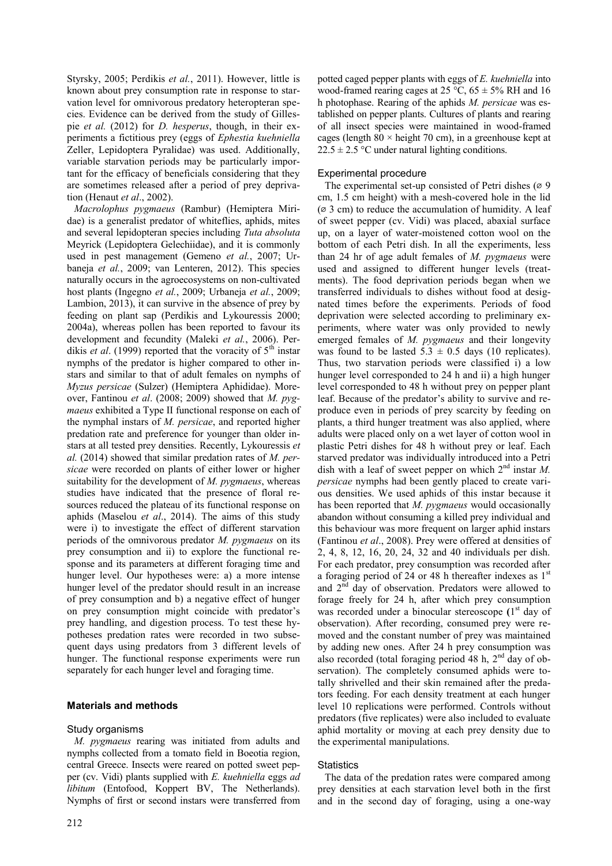Styrsky, 2005; Perdikis *et al.*, 2011). However, little is known about prey consumption rate in response to starvation level for omnivorous predatory heteropteran species. Evidence can be derived from the study of Gillespie *et al.* (2012) for *D. hesperus*, though, in their experiments a fictitious prey (eggs of *Ephestia kuehniella* Zeller, Lepidoptera Pyralidae) was used. Additionally, variable starvation periods may be particularly important for the efficacy of beneficials considering that they are sometimes released after a period of prey deprivation (Henaut *et al*., 2002).

*Μacrolophus pygmaeus* (Rambur) (Hemiptera Miridae) is a generalist predator of whiteflies, aphids, mites and several lepidopteran species including *Tuta absoluta* Meyrick (Lepidoptera Gelechiidae), and it is commonly used in pest management (Gemeno *et al.*, 2007; Urbaneja *et al.*, 2009; van Lenteren, 2012). This species naturally occurs in the agroecosystems on non-cultivated host plants (Ingegno *et al.*, 2009; Urbaneja *et al.*, 2009; Lambion, 2013), it can survive in the absence of prey by feeding on plant sap (Perdikis and Lykouressis 2000; 2004a), whereas pollen has been reported to favour its development and fecundity (Maleki *et al.*, 2006). Perdikis *et al.* (1999) reported that the voracity of  $5<sup>th</sup>$  instar nymphs of the predator is higher compared to other instars and similar to that of adult females on nymphs of *Myzus persicae* (Sulzer) (Hemiptera Aphididae). Moreover, Fantinou *et al*. (2008; 2009) showed that *Μ. pygmaeus* exhibited a Type II functional response on each of the nymphal instars of *M. persicae*, and reported higher predation rate and preference for younger than older instars at all tested prey densities. Recently, Lykouressis *et al.* (2014) showed that similar predation rates of *M. persicae* were recorded on plants of either lower or higher suitability for the development of *M. pygmaeus*, whereas studies have indicated that the presence of floral resources reduced the plateau of its functional response on aphids (Maselou *et al*., 2014). The aims of this study were i) to investigate the effect of different starvation periods of the omnivorous predator *M. pygmaeus* on its prey consumption and ii) to explore the functional response and its parameters at different foraging time and hunger level. Our hypotheses were: a) a more intense hunger level of the predator should result in an increase of prey consumption and b) a negative effect of hunger on prey consumption might coincide with predator's prey handling, and digestion process. To test these hypotheses predation rates were recorded in two subsequent days using predators from 3 different levels of hunger. The functional response experiments were run separately for each hunger level and foraging time.

#### **Materials and methods**

#### Study organisms

*M. pygmaeus* rearing was initiated from adults and nymphs collected from a tomato field in Boeotia region, central Greece. Insects were reared on potted sweet pepper (cv. Vidi) plants supplied with *E. kuehniella* eggs *ad libitum* (Entofood, Koppert BV, The Netherlands). Nymphs of first or second instars were transferred from potted caged pepper plants with eggs of *E. kuehniella* into wood-framed rearing cages at 25 °C,  $65 \pm 5\%$  RH and 16 h photophase. Rearing of the aphids *M. persicae* was established on pepper plants. Cultures of plants and rearing of all insect species were maintained in wood-framed cages (length  $80 \times$  height 70 cm), in a greenhouse kept at  $22.5 \pm 2.5$  °C under natural lighting conditions.

## Experimental procedure

The experimental set-up consisted of Petri dishes ( $\varnothing$  9 cm, 1.5 cm height) with a mesh-covered hole in the lid  $(63 \text{ cm})$  to reduce the accumulation of humidity. A leaf of sweet pepper (cv. Vidi) was placed, abaxial surface up, on a layer of water-moistened cotton wool on the bottom of each Petri dish. In all the experiments, less than 24 hr of age adult females of *M. pygmaeus* were used and assigned to different hunger levels (treatments). The food deprivation periods began when we transferred individuals to dishes without food at designated times before the experiments. Periods of food deprivation were selected according to preliminary experiments, where water was only provided to newly emerged females of *M. pygmaeus* and their longevity was found to be lasted  $5.3 \pm 0.5$  days (10 replicates). Thus, two starvation periods were classified i) a low hunger level corresponded to 24 h and ii) a high hunger level corresponded to 48 h without prey on pepper plant leaf. Because of the predator's ability to survive and reproduce even in periods of prey scarcity by feeding on plants, a third hunger treatment was also applied, where adults were placed only on a wet layer of cotton wool in plastic Petri dishes for 48 h without prey or leaf. Each starved predator was individually introduced into a Petri dish with a leaf of sweet pepper on which 2<sup>nd</sup> instar *M*. *persicae* nymphs had been gently placed to create various densities. We used aphids of this instar because it has been reported that *M. pygmaeus* would occasionally abandon without consuming a killed prey individual and this behaviour was more frequent on larger aphid instars (Fantinou *et al*., 2008). Prey were offered at densities of 2, 4, 8, 12, 16, 20, 24, 32 and 40 individuals per dish. For each predator, prey consumption was recorded after a foraging period of 24 or 48 h thereafter indexes as  $1<sup>st</sup>$ and  $2<sup>nd</sup>$  day of observation. Predators were allowed to forage freely for 24 h, after which prey consumption was recorded under a binocular stereoscope (1<sup>st</sup> day of observation). After recording, consumed prey were removed and the constant number of prey was maintained by adding new ones. After 24 h prey consumption was also recorded (total foraging period 48 h, 2nd day of observation). The completely consumed aphids were totally shrivelled and their skin remained after the predators feeding. For each density treatment at each hunger level 10 replications were performed. Controls without predators (five replicates) were also included to evaluate aphid mortality or moving at each prey density due to the experimental manipulations.

#### **Statistics**

The data of the predation rates were compared among prey densities at each starvation level both in the first and in the second day of foraging, using a one-way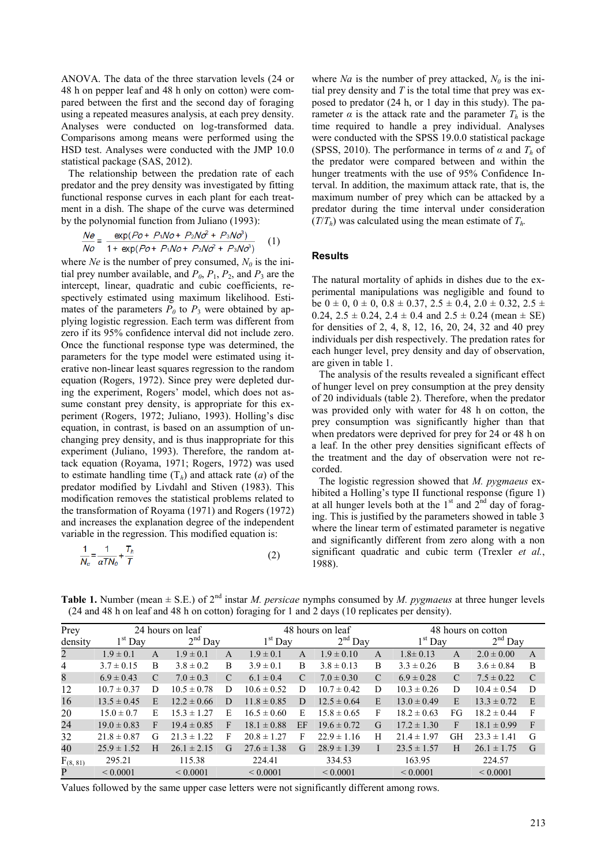ANOVA. The data of the three starvation levels (24 or 48 h on pepper leaf and 48 h only on cotton) were compared between the first and the second day of foraging using a repeated measures analysis, at each prey density. Analyses were conducted on log-transformed data. Comparisons among means were performed using the HSD test. Analyses were conducted with the JMP 10.0 statistical package (SAS, 2012).

The relationship between the predation rate of each predator and the prey density was investigated by fitting functional response curves in each plant for each treatment in a dish. The shape of the curve was determined by the polynomial function from Juliano (1993):

$$
\frac{Ne}{No} = \frac{\exp(Po + P_1No + P_2No^2 + P_3No^3)}{1 + \exp(Po + P_1No + P_2No^2 + P_3No^3)} \tag{1}
$$

where *Ne* is the number of prey consumed,  $N_0$  is the initial prey number available, and  $P_0$ ,  $P_1$ ,  $P_2$ , and  $P_3$  are the intercept, linear, quadratic and cubic coefficients, respectively estimated using maximum likelihood. Estimates of the parameters  $P_0$  to  $P_3$  were obtained by applying logistic regression. Each term was different from zero if its 95% confidence interval did not include zero. Once the functional response type was determined, the parameters for the type model were estimated using iterative non-linear least squares regression to the random equation (Rogers, 1972). Since prey were depleted during the experiment, Rogers' model, which does not assume constant prey density, is appropriate for this experiment (Rogers, 1972; Juliano, 1993). Holling's disc equation, in contrast, is based on an assumption of unchanging prey density, and is thus inappropriate for this experiment (Juliano, 1993). Therefore, the random attack equation (Royama, 1971; Rogers, 1972) was used to estimate handling time  $(T_h)$  and attack rate (*a*) of the predator modified by Livdahl and Stiven (1983). This modification removes the statistical problems related to the transformation of Royama (1971) and Rogers (1972) and increases the explanation degree of the independent variable in the regression. This modified equation is:

$$
\frac{1}{N_a} = \frac{1}{\alpha T N_0} + \frac{I_h}{T}
$$
 (2)

where *Na* is the number of prey attacked,  $N_0$  is the initial prey density and *T* is the total time that prey was exposed to predator (24 h, or 1 day in this study). The parameter  $\alpha$  is the attack rate and the parameter  $T_h$  is the time required to handle a prey individual. Analyses were conducted with the SPSS 19.0.0 statistical package (SPSS, 2010). The performance in terms of  $\alpha$  and  $T_h$  of the predator were compared between and within the hunger treatments with the use of 95% Confidence Interval. In addition, the maximum attack rate, that is, the maximum number of prey which can be attacked by a predator during the time interval under consideration  $(T/T_h)$  was calculated using the mean estimate of  $T_h$ .

#### **Results**

The natural mortality of aphids in dishes due to the experimental manipulations was negligible and found to be  $0 \pm 0$ ,  $0 \pm 0$ ,  $0.8 \pm 0.37$ ,  $2.5 \pm 0.4$ ,  $2.0 \pm 0.32$ ,  $2.5 \pm 0.4$ 0.24,  $2.5 \pm 0.24$ ,  $2.4 \pm 0.4$  and  $2.5 \pm 0.24$  (mean  $\pm$  SE) for densities of 2, 4, 8, 12, 16, 20, 24, 32 and 40 prey individuals per dish respectively. The predation rates for each hunger level, prey density and day of observation, are given in table 1.

The analysis of the results revealed a significant effect of hunger level on prey consumption at the prey density of 20 individuals (table 2). Therefore, when the predator was provided only with water for 48 h on cotton, the prey consumption was significantly higher than that when predators were deprived for prey for 24 or 48 h on a leaf. In the other prey densities significant effects of the treatment and the day of observation were not recorded.

The logistic regression showed that *M. pygmaeus* exhibited a Holling's type II functional response (figure 1) at all hunger levels both at the  $1<sup>st</sup>$  and  $2<sup>nd</sup>$  day of foraging. This is justified by the parameters showed in table 3 where the linear term of estimated parameter is negative and significantly different from zero along with a non significant quadratic and cubic term (Trexler *et al.*, 1988).

| Prey          |                        | 24 hours on leaf |                 | 48 hours on leaf | 48 hours on cotton |    |                 |   |                 |           |                 |              |
|---------------|------------------------|------------------|-----------------|------------------|--------------------|----|-----------------|---|-----------------|-----------|-----------------|--------------|
| density       | $2nd$ Day<br>$1st$ Day |                  | $1st$ Day       |                  | $2^{nd}$ Day       |    | $1st$ Day       |   | $2nd$ Day       |           |                 |              |
| 2             | $1.9 \pm 0.1$          | A                | $1.9 \pm 0.1$   | A                | $1.9 \pm 0.1$      | A  | $1.9 \pm 0.10$  | A | $1.8 \pm 0.13$  | A         | $2.0 \pm 0.00$  | $\mathsf{A}$ |
| 4             | $3.7 \pm 0.15$         | B                | $3.8 \pm 0.2$   | B                | $3.9 \pm 0.1$      | B  | $3.8 \pm 0.13$  | B | $3.3 \pm 0.26$  | B         | $3.6 \pm 0.84$  | B            |
| 8             | $6.9 \pm 0.43$         | C                | $7.0 \pm 0.3$   | C                | $6.1 \pm 0.4$      | C  | $7.0 \pm 0.30$  | C | $6.9 \pm 0.28$  | C         | $7.5 \pm 0.22$  | C            |
| 12            | $10.7 \pm 0.37$        | D                | $10.5 \pm 0.78$ | D                | $10.6 \pm 0.52$    | D  | $10.7 \pm 0.42$ | D | $10.3 \pm 0.26$ | D         | $10.4 \pm 0.54$ | D            |
| 16            | $13.5 \pm 0.45$        | E                | $12.2 \pm 0.66$ | D                | $11.8 \pm 0.85$    | D  | $12.5 \pm 0.64$ | E | $13.0 \pm 0.49$ | E         | $13.3 \pm 0.72$ | E            |
| 20            | $15.0 \pm 0.7$         | E                | $15.3 \pm 1.27$ | E                | $16.5 \pm 0.60$    | E  | $15.8 \pm 0.65$ | F | $18.2 \pm 0.63$ | FG        | $18.2 \pm 0.44$ | F            |
| 24            | $19.0 \pm 0.83$        | F                | $19.4 \pm 0.85$ | F                | $18.1 \pm 0.88$    | EF | $19.6 \pm 0.72$ | G | $17.2 \pm 1.30$ | F         | $18.1 \pm 0.99$ | $\mathbf{F}$ |
| 32            | $21.8 \pm 0.87$        | G                | $21.3 \pm 1.22$ | F                | $20.8 \pm 1.27$    | F  | $22.9 \pm 1.16$ | H | $21.4 \pm 1.97$ | <b>GH</b> | $23.3 \pm 1.41$ | G            |
| 40            | $25.9 \pm 1.52$        | H                | $26.1 \pm 2.15$ | G                | $27.6 \pm 1.38$    | G  | $28.9 \pm 1.39$ |   | $23.5 \pm 1.57$ | H         | $26.1 \pm 1.75$ | G            |
| $F_{(8, 81)}$ | 295.21                 |                  | 115.38          |                  | 224.41             |    | 334.53          |   | 163.95          |           | 224.57          |              |
| P             | ${}_{0.0001}$          |                  | ${}_{0.0001}$   |                  | ${}_{0.0001}$      |    | ${}_{0.0001}$   |   | ${}_{0.0001}$   |           | ${}< 0.0001$    |              |

**Table 1.** Number (mean  $\pm$  S.E.) of 2<sup>nd</sup> instar *M. persicae* nymphs consumed by *M. pygmaeus* at three hunger levels (24 and 48 h on leaf and 48 h on cotton) foraging for 1 and 2 days (10 replicates per density).

Values followed by the same upper case letters were not significantly different among rows.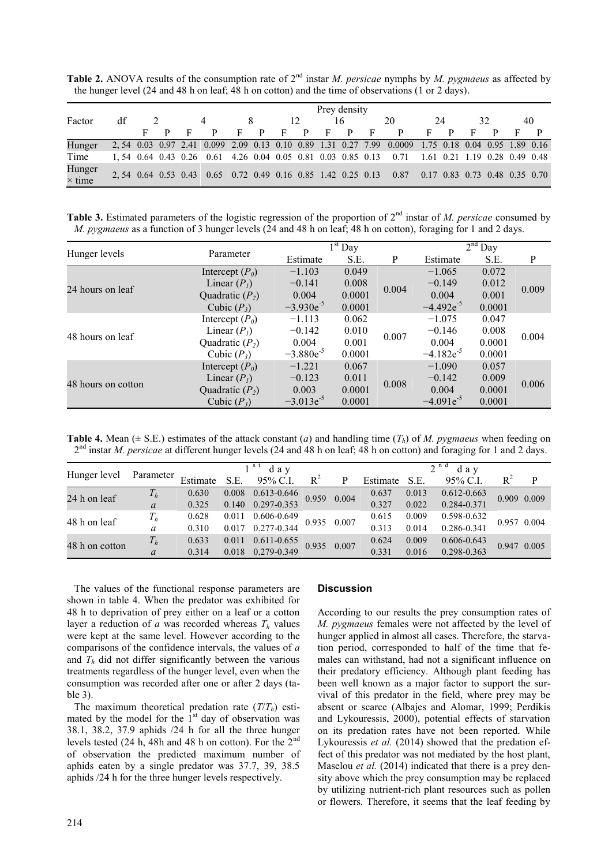**Table 2.** ANOVA results of the consumption rate of 2nd instar *M. persicae* nymphs by *M. pygmaeus* as affected by the hunger level (24 and 48 h on leaf; 48 h on cotton) and the time of observations (1 or 2 days).

|                         | Prey density |  |  |   |                                                              |   |   |   |    |   |              |   |                                                                                                    |    |    |   |                                 |
|-------------------------|--------------|--|--|---|--------------------------------------------------------------|---|---|---|----|---|--------------|---|----------------------------------------------------------------------------------------------------|----|----|---|---------------------------------|
| Factor                  | df           |  |  |   |                                                              |   |   |   | 12 |   | 16           |   | 20                                                                                                 | 24 | 32 |   | 40                              |
|                         |              |  |  | F | P.                                                           | F | P | F | P. | F | $\mathbf{p}$ | F | P                                                                                                  | F  | -F | P |                                 |
| Hunger                  |              |  |  |   |                                                              |   |   |   |    |   |              |   | 2, 54 0.03 0.97 2.41 0.099 2.09 0.13 0.10 0.89 1.31 0.27 7.99 0.0009 1.75 0.18 0.04 0.95 1.89 0.16 |    |    |   |                                 |
| Time                    |              |  |  |   | 1, 54 0.64 0.43 0.26 0.61 4.26 0.04 0.05 0.81 0.03 0.85 0.13 |   |   |   |    |   |              |   | 0.71                                                                                               |    |    |   | 1.61 0.21 1.19 0.28 0.49 0.48   |
| Hunger<br>$\times$ time |              |  |  |   | 2, 54 0.64 0.53 0.43 0.65 0.72 0.49 0.16 0.85 1.42 0.25 0.13 |   |   |   |    |   |              |   | 0.87                                                                                               |    |    |   | $0.17$ 0.83 0.73 0.48 0.35 0.70 |

**Table 3.** Estimated parameters of the logistic regression of the proportion of 2<sup>nd</sup> instar of *M. persicae* consumed by *M. pygmaeus* as a function of 3 hunger levels (24 and 48 h on leaf; 48 h on cotton), foraging for 1 and 2 days.

|                    |                   |                | $1st$ Day |       |                | $2nd$ Day |       |
|--------------------|-------------------|----------------|-----------|-------|----------------|-----------|-------|
| Hunger levels      | Parameter         | Estimate       | S.E.      | P     | Estimate       | S.E.      | P     |
|                    | Intercept $(P_0)$ | $-1.103$       | 0.049     |       | $-1.065$       | 0.072     |       |
| 24 hours on leaf   | Linear $(PI)$     | $-0.141$       | 0.008     | 0.004 | $-0.149$       | 0.012     | 0.009 |
|                    | Quadratic $(P_2)$ | 0.004          | 0.0001    |       | 0.004          | 0.001     |       |
|                    | Cubic $(P_3)$     | $-3.930e^{-5}$ | 0.0001    |       | $-4.492e^{-5}$ | 0.0001    |       |
|                    | Intercept $(P_0)$ | $-1.113$       | 0.062     |       | $-1.075$       | 0.047     | 0.004 |
| 48 hours on leaf   | Linear $(Pl)$     | $-0.142$       | 0.010     | 0.007 | $-0.146$       | 0.008     |       |
|                    | Quadratic $(P_2)$ | 0.004          | 0.001     |       | 0.004          | 0.0001    |       |
|                    | Cubic $(P_3)$     | $-3.880e^{-5}$ | 0.0001    |       | $-4.182e^{-5}$ | 0.0001    |       |
|                    | Intercept $(P_0)$ | $-1.221$       | 0.067     |       | $-1.090$       | 0.057     |       |
| 48 hours on cotton | Linear $(Pl)$     | $-0.123$       | 0.011     | 0.008 | $-0.142$       | 0.009     | 0.006 |
|                    | Quadratic $(P_2)$ | 0.003          | 0.0001    |       | 0.004          | 0.0001    |       |
|                    | Cubic $(P_3)$     | $-3.013e^{-5}$ | 0.0001    |       | $-4.091e^{-5}$ | 0.0001    |       |

**Table 4.** Mean  $(\pm S.E.)$  estimates of the attack constant (*a*) and handling time  $(T_h)$  of *M. pygmaeus* when feeding on 2<sup>nd</sup> instar *M. persicae* at different hunger levels (24 and 48 h on leaf; 48 h on cotton) and foraging for 1 and 2 days.

|                |               |          | $1st$ day |                     |             | $2^{nd}$ day |          |       |                 |             |   |
|----------------|---------------|----------|-----------|---------------------|-------------|--------------|----------|-------|-----------------|-------------|---|
| Hunger level   | Parameter     | Estimate | S.E.      | 95% C.I.            | $R^2$       | P            | Estimate | S.E.  | 95% C.I.        | $R^2$       | P |
|                | $T_h$         | 0.630    |           | $0.008$ 0.613-0.646 | 0.959 0.004 |              | 0.637    | 0.013 | $0.612 - 0.663$ | 0.909 0.009 |   |
| 24 h on leaf   | $\mathfrak a$ | 0.325    |           | 0.140 0.297-0.353   |             |              | 0.327    | 0.022 | 0.284-0.371     |             |   |
|                | $T_h$         | 0.628    |           | 0.011 0.606-0.649   | 0.935 0.007 |              | 0.615    | 0.009 | 0.598-0.632     | 0.957 0.004 |   |
| 48 h on leaf   | a             | 0.310    |           | 0.017 0.277-0.344   |             |              | 0.313    | 0.014 | 0.286-0.341     |             |   |
|                | $T_h$         | 0.633    | 0.011     | $0.611 - 0.655$     | 0.935 0.007 |              | 0.624    | 0.009 | $0.606 - 0.643$ |             |   |
| 48 h on cotton | $\mathfrak a$ | 0.314    |           | 0.018 0.279-0.349   |             |              | 0.331    | 0.016 | 0.298-0.363     | 0.947 0.005 |   |

The values of the functional response parameters are shown in table 4. When the predator was exhibited for 48 h to deprivation of prey either on a leaf or a cotton layer a reduction of *a* was recorded whereas  $T_h$  values were kept at the same level. However according to the comparisons of the confidence intervals, the values of *a* and  $T_h$  did not differ significantly between the various treatments regardless of the hunger level, even when the consumption was recorded after one or after 2 days (table 3).

The maximum theoretical predation rate  $(T/T_h)$  estimated by the model for the  $1<sup>st</sup>$  day of observation was 38.1, 38.2, 37.9 aphids /24 h for all the three hunger levels tested (24 h, 48h and 48 h on cotton). For the 2nd of observation the predicted maximum number of aphids eaten by a single predator was 37.7, 39, 38.5 aphids /24 h for the three hunger levels respectively.

# **Discussion**

According to our results the prey consumption rates of *M. pygmaeus* females were not affected by the level of hunger applied in almost all cases. Therefore, the starvation period, corresponded to half of the time that females can withstand, had not a significant influence on their predatory efficiency. Although plant feeding has been well known as a major factor to support the survival of this predator in the field, where prey may be absent or scarce (Albajes and Alomar, 1999; Perdikis and Lykouressis, 2000), potential effects of starvation on its predation rates have not been reported. While Lykouressis *et al.* (2014) showed that the predation effect of this predator was not mediated by the host plant, Maselou *et al.* (2014) indicated that there is a prey density above which the prey consumption may be replaced by utilizing nutrient-rich plant resources such as pollen or flowers. Therefore, it seems that the leaf feeding by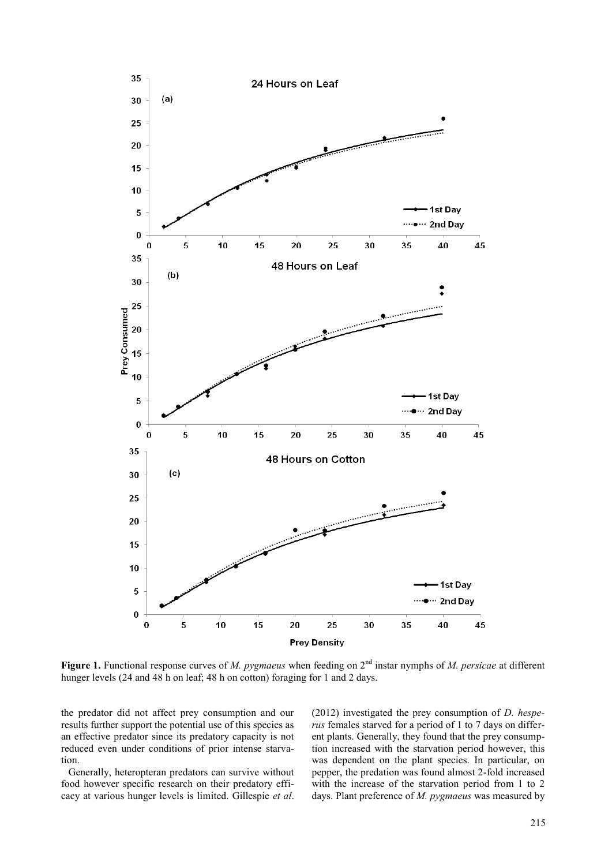

Figure 1. Functional response curves of *M. pygmaeus* when feeding on 2<sup>nd</sup> instar nymphs of *M. persicae* at different hunger levels (24 and 48 h on leaf; 48 h on cotton) foraging for 1 and 2 days.

the predator did not affect prey consumption and our results further support the potential use of this species as an effective predator since its predatory capacity is not reduced even under conditions of prior intense starvation.

Generally, heteropteran predators can survive without food however specific research on their predatory efficacy at various hunger levels is limited. Gillespie *et al*. (2012) investigated the prey consumption of *D. hesperus* females starved for a period of 1 to 7 days on different plants. Generally, they found that the prey consumption increased with the starvation period however, this was dependent on the plant species. In particular, on pepper, the predation was found almost 2-fold increased with the increase of the starvation period from 1 to 2 days. Plant preference of *M. pygmaeus* was measured by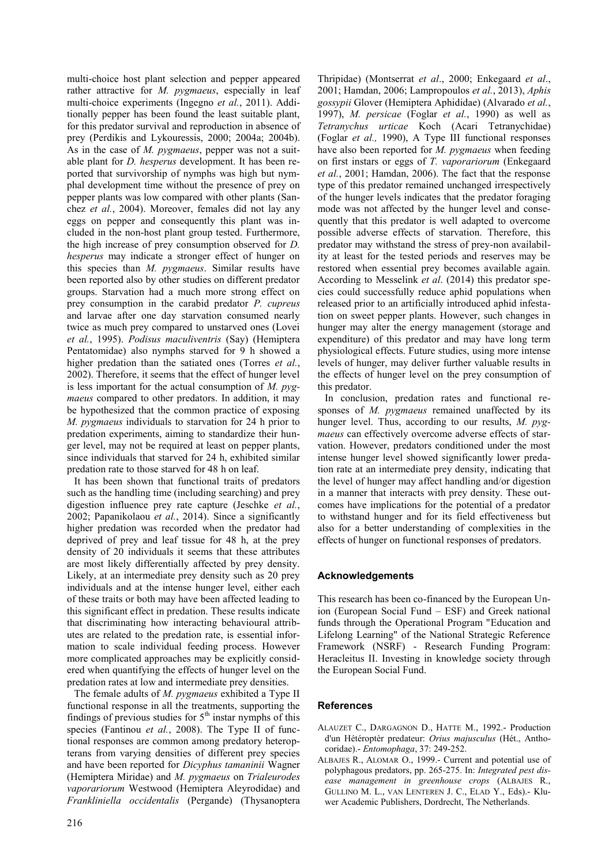multi-choice host plant selection and pepper appeared rather attractive for *M. pygmaeus*, especially in leaf multi-choice experiments (Ingegno *et al.*, 2011). Additionally pepper has been found the least suitable plant, for this predator survival and reproduction in absence of prey (Perdikis and Lykouressis, 2000; 2004a; 2004b). As in the case of *M. pygmaeus*, pepper was not a suitable plant for *D. hesperus* development. It has been reported that survivorship of nymphs was high but nymphal development time without the presence of prey on pepper plants was low compared with other plants (Sanchez *et al.*, 2004). Moreover, females did not lay any eggs on pepper and consequently this plant was included in the non-host plant group tested. Furthermore, the high increase of prey consumption observed for *D. hesperus* may indicate a stronger effect of hunger on this species than *M. pygmaeus*. Similar results have been reported also by other studies on different predator groups. Starvation had a much more strong effect on prey consumption in the carabid predator *P. cupreus*  and larvae after one day starvation consumed nearly twice as much prey compared to unstarved ones (Lovei *et al.*, 1995). *Podisus maculiventris* (Say) (Hemiptera Pentatomidae) also nymphs starved for 9 h showed a higher predation than the satiated ones (Torres *et al.*, 2002). Therefore, it seems that the effect of hunger level is less important for the actual consumption of *M. pygmaeus* compared to other predators. In addition, it may be hypothesized that the common practice of exposing *M. pygmaeus* individuals to starvation for 24 h prior to predation experiments, aiming to standardize their hunger level, may not be required at least on pepper plants, since individuals that starved for 24 h, exhibited similar predation rate to those starved for 48 h on leaf.

It has been shown that functional traits of predators such as the handling time (including searching) and prey digestion influence prey rate capture (Jeschke *et al.*, 2002; Papanikolaou *et al.*, 2014). Since a significantly higher predation was recorded when the predator had deprived of prey and leaf tissue for 48 h, at the prey density of 20 individuals it seems that these attributes are most likely differentially affected by prey density. Likely, at an intermediate prey density such as 20 prey individuals and at the intense hunger level, either each of these traits or both may have been affected leading to this significant effect in predation. These results indicate that discriminating how interacting behavioural attributes are related to the predation rate, is essential information to scale individual feeding process. However more complicated approaches may be explicitly considered when quantifying the effects of hunger level on the predation rates at low and intermediate prey densities.

The female adults of *M. pygmaeus* exhibited a Type II functional response in all the treatments, supporting the findings of previous studies for  $5<sup>th</sup>$  instar nymphs of this species (Fantinou *et al.*, 2008). The Type II of functional responses are common among predatory heteropterans from varying densities of different prey species and have been reported for *Dicyphus tamaninii* Wagner (Hemiptera Miridae) and *M. pygmaeus* on *Trialeurodes vaporariorum* Westwood (Hemiptera Aleyrodidae) and *Frankliniella occidentalis* (Pergande) (Thysanoptera

Thripidae) (Montserrat *et al*., 2000; Enkegaard *et al*., 2001; Hamdan, 2006; Lampropoulos *et al.*, 2013), *Aphis gossypii* Glover (Hemiptera Aphididae) (Alvarado *et al.*, 1997), *M. persicae* (Foglar *et al.*, 1990) as well as *Tetranychus urticae* Koch (Acari Tetranychidae) (Foglar *et al.,* 1990), A Type III functional responses have also been reported for *M. pygmaeus* when feeding on first instars or eggs of *T. vaporariorum* (Enkegaard *et al.*, 2001; Hamdan, 2006). The fact that the response type of this predator remained unchanged irrespectively of the hunger levels indicates that the predator foraging mode was not affected by the hunger level and consequently that this predator is well adapted to overcome possible adverse effects of starvation. Therefore, this predator may withstand the stress of prey-non availability at least for the tested periods and reserves may be restored when essential prey becomes available again. According to Messelink *et al*. (2014) this predator species could successfully reduce aphid populations when released prior to an artificially introduced aphid infestation on sweet pepper plants. However, such changes in hunger may alter the energy management (storage and expenditure) of this predator and may have long term physiological effects. Future studies, using more intense levels of hunger, may deliver further valuable results in the effects of hunger level on the prey consumption of this predator.

In conclusion, predation rates and functional responses of *M. pygmaeus* remained unaffected by its hunger level. Thus, according to our results, *M. pygmaeus* can effectively overcome adverse effects of starvation. However, predators conditioned under the most intense hunger level showed significantly lower predation rate at an intermediate prey density, indicating that the level of hunger may affect handling and/or digestion in a manner that interacts with prey density. These outcomes have implications for the potential of a predator to withstand hunger and for its field effectiveness but also for a better understanding of complexities in the effects of hunger on functional responses of predators.

# **Acknowledgements**

This research has been co-financed by the European Union (European Social Fund – ESF) and Greek national funds through the Operational Program "Education and Lifelong Learning" of the National Strategic Reference Framework (NSRF) - Research Funding Program: Heracleitus II. Investing in knowledge society through the European Social Fund.

# **References**

- ALAUZET C., DARGAGNON D., HATTE M., 1992.- Production d'un Hétéroptèr predateur: *Orius majusculus* (Hét., Anthocoridae).- *Entomophaga*, 37: 249-252.
- ALBAJES R., ALOMAR O., 1999.- Current and potential use of polyphagous predators, pp. 265-275. In: *Integrated pest disease management in greenhouse crops* (ALBAJES R., GULLINO M. L., VAN LENTEREN J. C., ELAD Y., Eds).- Kluwer Academic Publishers, Dordrecht, The Netherlands.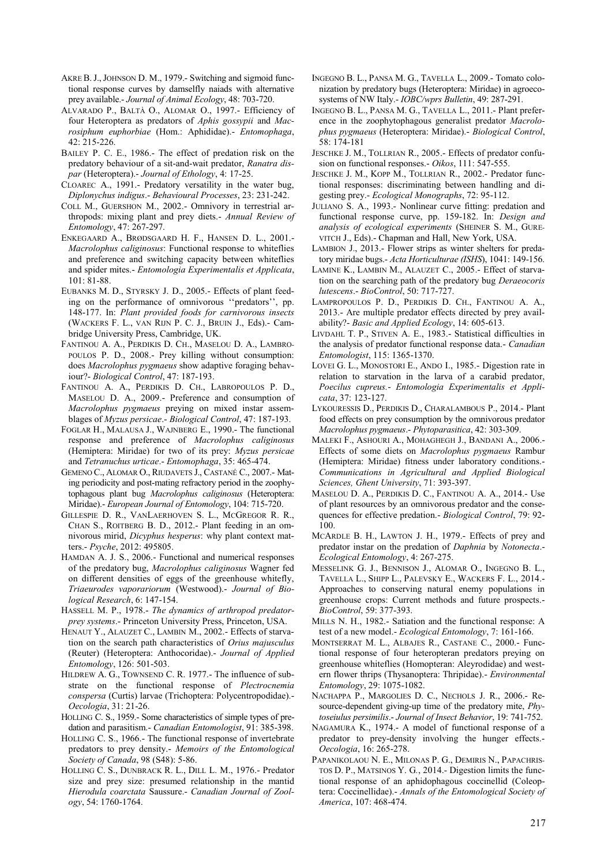- AKRE B.J.,JOHNSON D. M., 1979.- Switching and sigmoid functional response curves by damselfly naiads with alternative prey available.- *Journal of Animal Ecology*, 48: 703-720.
- ALVARADO P., BALTÀ O., ALOMAR O., 1997.- Efficiency of four Heteroptera as predators of *Aphis gossypii* and *Macrosiphum euphorbiae* (Hom.: Aphididae).- *Entomophaga*,  $42 \cdot 215 - 226$
- BAILEY P. C. E., 1986.- The effect of predation risk on the predatory behaviour of a sit-and-wait predator, *Ranatra dispar* (Heteroptera).- *Journal of Ethology*, 4: 17-25.
- CLOAREC A., 1991.- Predatory versatility in the water bug, *Diplonychus indigus*.- *Behavioural Processes*, 23: 231-242.
- COLL M., GUERSHON M., 2002.- Omnivory in terrestrial arthropods: mixing plant and prey diets.- *Annual Review of Entomology*, 47: 267-297.
- ENKEGAARD A., BRØDSGAARD H. F., HANSEN D. L., 2001.- *Macrolophus caliginosus*: Functional response to whiteflies and preference and switching capacity between whiteflies and spider mites.- *Entomologia Experimentalis et Applicata*, 101: 81-88.
- EUBANKS M. D., STYRSKY J. D., 2005.- Effects of plant feeding on the performance of omnivorous ''predators'', pp. 148-177. In: *Plant provided foods for carnivorous insects* (WACKERS F. L., VAN RIJN P. C. J., BRUIN J., Eds).- Cambridge University Press, Cambridge, UK.
- FANTINOU A. A., PERDIKIS D. CH., MASELOU D. A., LAMBRO-POULOS P. D., 2008.- Prey killing without consumption: does *Macrolophus pygmaeus* show adaptive foraging behaviour?- *Biological Control*, 47: 187-193.
- FANTINOU A. A., PERDIKIS D. CH., LABROPOULOS P. D., MASELOU D. A., 2009.- Preference and consumption of *Macrolophus pygmaeus* preying on mixed instar assemblages of *Myzus persicae*.- *Biological Control*, 47: 187-193.
- FOGLAR H., MALAUSA J., WAJNBERG E., 1990.- The functional response and preference of *Macrolophus caliginosus* (Hemiptera: Miridae) for two of its prey: *Myzus persicae* and *Tetranuchus urticae*.- *Entomophaga*, 35: 465-474.
- GEMENO C., ALOMAR O., RIUDAVETS J., CASTANÉ C., 2007.- Mating periodicity and post-mating refractory period in the zoophytophagous plant bug *Macrolophus caliginosus* (Heteroptera: Miridae).- *European Journal of Entomology*, 104: 715-720.
- GILLESPIE D. R., VANLAERHOVEN S. L., MCGREGOR R. R., CHAN S., ROITBERG B. D., 2012.- Plant feeding in an omnivorous mirid, *Dicyphus hesperus*: why plant context matters.- *Psyche*, 2012: 495805.
- HAMDAN A. J. S., 2006.- Functional and numerical responses of the predatory bug, *Macrolophus caliginosus* Wagner fed on different densities of eggs of the greenhouse whitefly, *Triaeurodes vaporariorum* (Westwood).- *Journal of Biological Research*, 6: 147-154.
- HASSELL M. P., 1978.- *The dynamics of arthropod predatorprey systems*.- Princeton University Press, Princeton, USA.
- HENAUT Y., ALAUZET C., LAMBIN M., 2002.- Effects of starvation on the search path characteristics of *Orius majusculus* (Reuter) (Heteroptera: Anthocoridae).- *Journal of Applied Entomology*, 126: 501-503.
- HILDREW A. G., TOWNSEND C. R. 1977.- The influence of substrate on the functional response of *Plectrocnemia conspersa* (Curtis) larvae (Trichoptera: Polycentropodidae).- *Oecologia*, 31: 21-26.
- HOLLING C. S., 1959.- Some characteristics of simple types of predation and parasitism.- *Canadian Entomologist*, 91: 385-398.
- HOLLING C. S., 1966.- The functional response of invertebrate predators to prey density.- *Memoirs of the Entomological Society of Canada*, 98 (S48): 5-86.
- HOLLING C. S., DUNBRACK R. L., DILL L. M., 1976.- Predator size and prey size: presumed relationship in the mantid *Hierodula coarctata* Saussure.- *Canadian Journal of Zoology*, 54: 1760-1764.
- INGEGNO B. L., PANSA M. G., TAVELLA L., 2009.- Tomato colonization by predatory bugs (Heteroptera: Miridae) in agroecosystems of NW Italy.- *IOBC/wprs Bulletin*, 49: 287-291.
- INGEGNO B. L., PANSA M. G., TAVELLA L., 2011.- Plant preference in the zoophytophagous generalist predator *Macrolophus pygmaeus* (Heteroptera: Miridae).- *Biological Control*, 58: 174-181
- JESCHKE J. M., TOLLRIAN R., 2005.- Effects of predator confusion on functional responses.- *Oikos*, 111: 547-555.
- JESCHKE J. M., KOPP M., TOLLRIAN R., 2002.- Predator functional responses: discriminating between handling and digesting prey.- *Ecological Monographs*, 72: 95-112.
- JULIANO S. A., 1993.- Nonlinear curve fitting: predation and functional response curve, pp. 159-182. In: *Design and analysis of ecological experiments* (SHEINER S. M., GURE-VITCH J., Eds).- Chapman and Hall, New York, USA.
- LAMBION J., 2013.- Flower strips as winter shelters for predatory miridae bugs.- *Acta Horticulturae (ISHS*), 1041: 149-156.
- LAMINE K., LAMBIN M., ALAUZET C., 2005.- Effect of starvation on the searching path of the predatory bug *Deraeocoris lutescens*.- *BioControl*, 50: 717-727.
- LAMPROPOULOS P. D., PERDIKIS D. CH., FANTINOU A. A., 2013.- Are multiple predator effects directed by prey availability?- *Basic and Applied Ecology*, 14: 605-613.
- LIVDAHL T. P., STIVEN A. E., 1983.- Statistical difficulties in the analysis of predator functional response data.- *Canadian Entomologist*, 115: 1365-1370.
- LOVEI G. L., MONOSTORI E., ANDO I., 1985.- Digestion rate in relation to starvation in the larva of a carabid predator, *Poecilus cupreus.*- *Entomologia Experimentalis et Applicata*, 37: 123-127.
- LYKOURESSIS D., PERDIKIS D., CHARALAMBOUS P., 2014.- Plant food effects on prey consumption by the omnivorous predator *Macrolophus pygmaeus*.- *Phytoparasitica*, 42: 303-309.
- MALEKI F., ASHOURI A., MOHAGHEGH J., BANDANI A., 2006.- Effects of some diets on *Macrolophus pygmaeus* Rambur (Hemiptera: Miridae) fitness under laboratory conditions.- *Communications in Agricultural and Applied Biological Sciences, Ghent University*, 71: 393-397.
- MASELOU D. A., PERDIKIS D. C., FANTINOU A. A., 2014.- Use of plant resources by an omnivorous predator and the consequences for effective predation.- *Biological Control*, 79: 92- 100.
- MCARDLE B. H., LAWTON J. H., 1979.- Effects of prey and predator instar on the predation of *Daphnia* by *Notonecta*.- *Ecological Entomology*, 4: 267-275.
- MESSELINK G. J., BENNISON J., ALOMAR O., INGEGNO B. L., TAVELLA L., SHIPP L., PALEVSKY E., WACKERS F. L., 2014.- Approaches to conserving natural enemy populations in greenhouse crops: Current methods and future prospects.- *BioControl*, 59: 377-393.
- MILLS N. H., 1982.- Satiation and the functional response: A test of a new model.- *Ecological Entomology*, 7: 161-166.
- MONTSERRAT M. L., ALBAJES R., CASTANE C., 2000.- Functional response of four heteropteran predators preying on greenhouse whiteflies (Homopteran: Aleyrodidae) and western flower thrips (Thysanoptera: Thripidae).- *Environmental Entomology*, 29: 1075-1082.
- NACHAPPA P., MARGOLIES D. C., NECHOLS J. R., 2006.- Resource-dependent giving-up time of the predatory mite, *Phytoseiulus persimilis*.- *Journal of Insect Behavior*, 19: 741-752.
- NAGAMURA K., 1974.- A model of functional response of a predator to prey-density involving the hunger effects.- *Oecologia*, 16: 265-278.
- PAPANIKOLAOU N. E., MILONAS P. G., DEMIRIS N., PAPACHRIS-TOS D. P., MATSINOS Y. G*.*, 2014.- Digestion limits the functional response of an aphidophagous coccinellid (Coleoptera: Coccinellidae).- *Annals of the Entomological Society of America*, 107: 468-474.